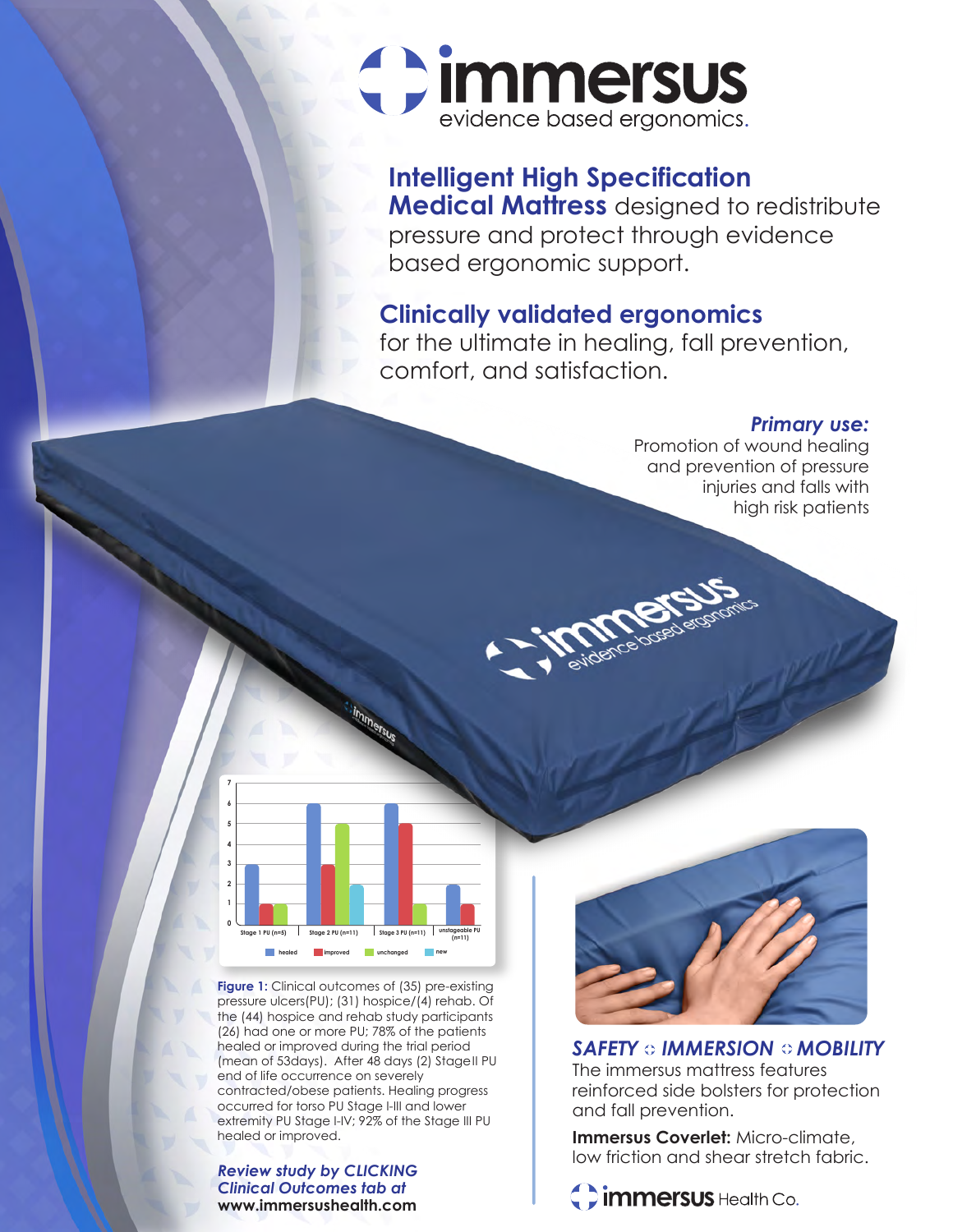

# **Intelligent High Specification**

**Medical Mattress** designed to redistribute pressure and protect through evidence based ergonomic support.

### **Clinically validated ergonomics**

for the ultimate in healing, fall prevention, comfort, and satisfaction.

### *Primary use:*

Promotion of wound healing and prevention of pressure injuries and falls with high risk patients



**Figure 1:** Clinical outcomes of (35) pre-existing pressure ulcers(PU); (31) hospice/(4) rehab. Of the (44) hospice and rehab study participants (26) had one or more PU; 78% of the patients healed or improved during the trial period (mean of 53days). After 48 days (2) StageII PU end of life occurrence on severely contracted/obese patients. Healing progress occurred for torso PU Stage I-III and lower extremity PU Stage I-IV; 92% of the Stage III PU healed or improved.

*Review study by CLICKING Clinical Outcomes tab at*  **www.immersushealth.com**



**SAFETY IMMERSION IMOBILITY** The immersus mattress features reinforced side bolsters for protection and fall prevention.

**Immersus Coverlet:** Micro-climate, low friction and shear stretch fabric.

Cimmersus Health Co.